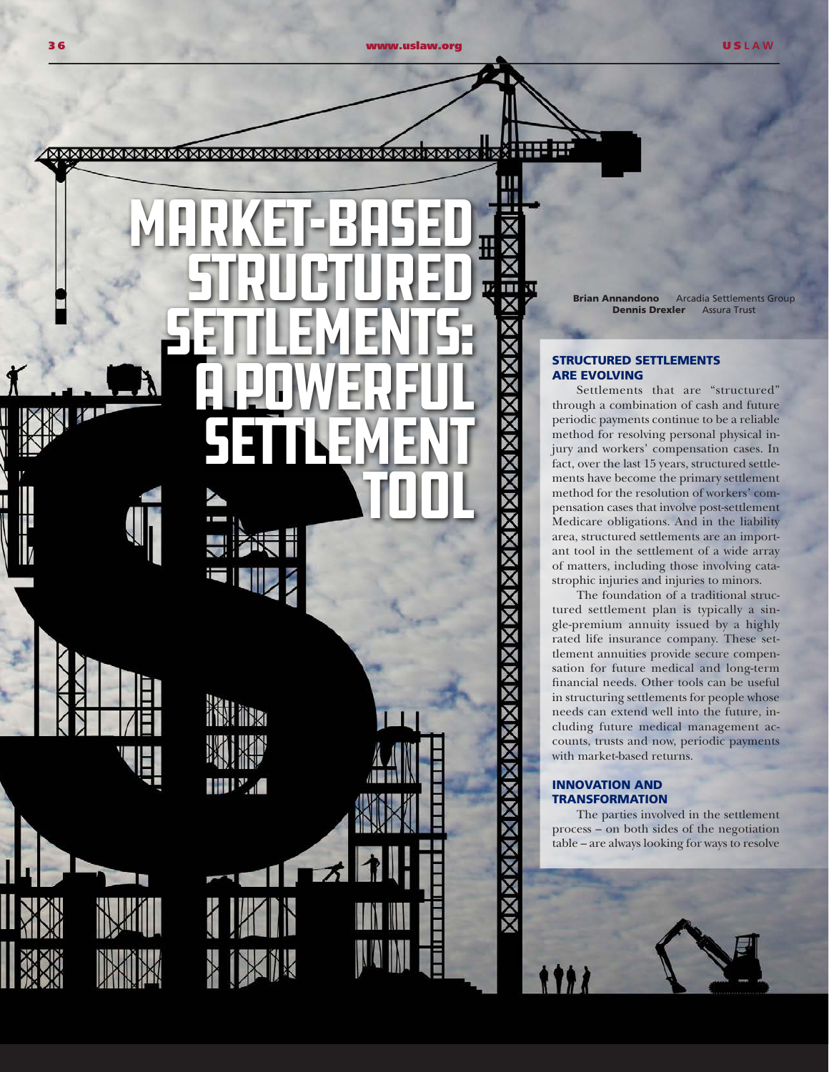Ш

182. **KRAMMAMMAMMAMMAMMAMMAMMAMMAMMAMMAMMAMMAM** 

п MARKET-BASED i<br>H Structured m 再 SETTLEMENTS: **A POWERFUL** SETTLEMENT Tool TN **THE WALE** 

Brian Annandono Arcadia Settlements Group Dennis Drexler Assura Trust

### STRUCTURED SETTLEMENTS ARE EVOLVING

Settlements that are "structured" through a combination of cash and future periodic payments continue to be a reliable method for resolving personal physical injury and workers' compensation cases. In fact, over the last 15 years, structured settlements have become the primary settlement method for the resolution of workers' compensation cases that involve post-settlement Medicare obligations. And in the liability area, structured settlements are an important tool in the settlement of a wide array of matters, including those involving catastrophic injuries and injuries to minors.

The foundation of a traditional structured settlement plan is typically a single-premium annuity issued by a highly rated life insurance company. These settlement annuities provide secure compensation for future medical and long-term financial needs. Other tools can be useful in structuring settlements for people whose needs can extend well into the future, including future medical management accounts, trusts and now, periodic payments with market-based returns.

# INNOVATION AND TRANSFORMATION

The parties involved in the settlement process – on both sides of the negotiation table – are always looking for ways to resolve